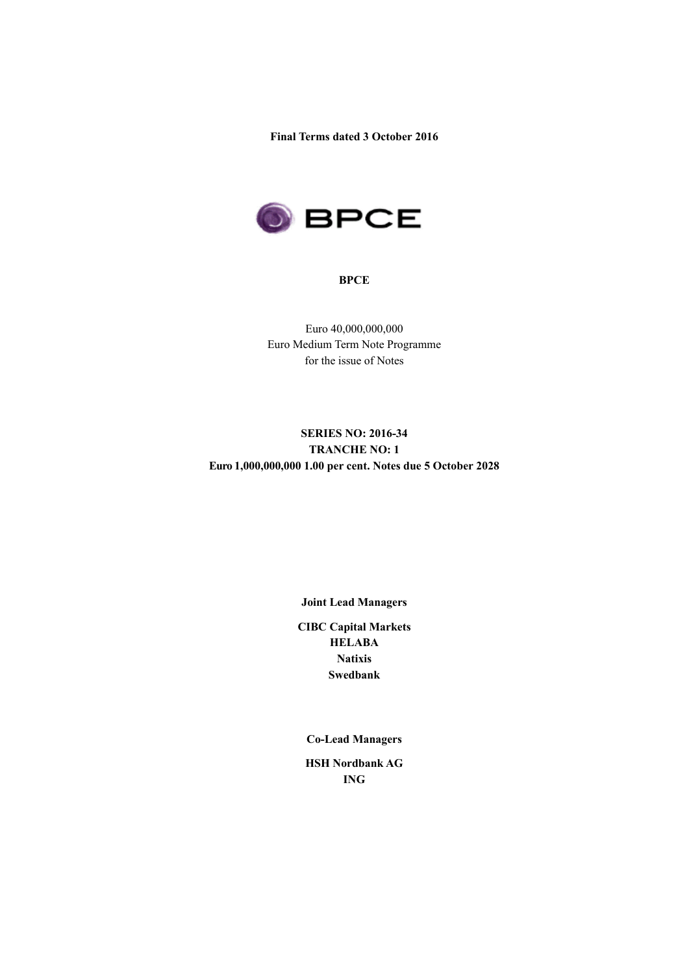**Final Terms dated 3 October 2016**



#### **BPCE**

Euro 40,000,000,000 Euro Medium Term Note Programme for the issue of Notes

# **SERIES NO: 2016-34 TRANCHE NO: 1 Euro 1,000,000,000 1.00 per cent. Notes due 5 October 2028**

## **Joint Lead Managers**

**CIBC Capital Markets HELABA Natixis Swedbank**

**Co-Lead Managers**

**HSH Nordbank AG ING**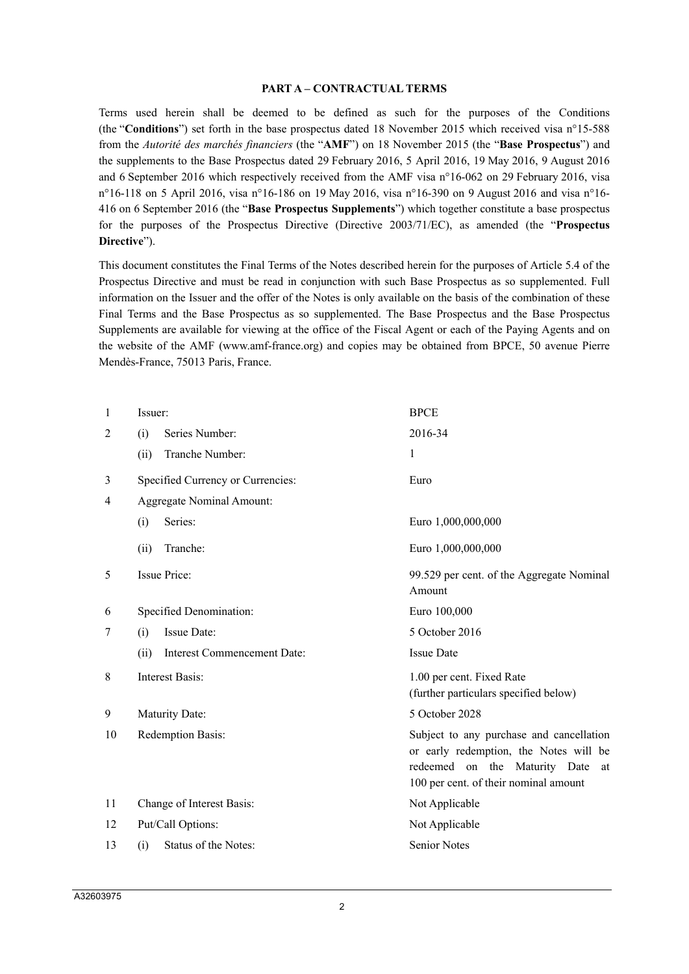#### **PART A – CONTRACTUAL TERMS**

Terms used herein shall be deemed to be defined as such for the purposes of the Conditions (the "**Conditions**") set forth in the base prospectus dated 18 November 2015 which received visa n°15-588 from the *Autorité des marchés financiers* (the "**AMF**") on 18 November 2015 (the "**Base Prospectus**") and the supplements to the Base Prospectus dated 29 February 2016, 5 April 2016, 19 May 2016, 9 August 2016 and 6 September 2016 which respectively received from the AMF visa n°16-062 on 29 February 2016, visa n°16-118 on 5 April 2016, visa n°16-186 on 19 May 2016, visa n°16-390 on 9 August 2016 and visa n°16- 416 on 6 September 2016 (the "**Base Prospectus Supplements**") which together constitute a base prospectus for the purposes of the Prospectus Directive (Directive 2003/71/EC), as amended (the "**Prospectus Directive**").

This document constitutes the Final Terms of the Notes described herein for the purposes of Article 5.4 of the Prospectus Directive and must be read in conjunction with such Base Prospectus as so supplemented. Full information on the Issuer and the offer of the Notes is only available on the basis of the combination of these Final Terms and the Base Prospectus as so supplemented. The Base Prospectus and the Base Prospectus Supplements are available for viewing at the office of the Fiscal Agent or each of the Paying Agents and on the website of the AMF (www.amf-france.org) and copies may be obtained from BPCE, 50 avenue Pierre Mendès-France, 75013 Paris, France.

| 1              | Issuer:                             | <b>BPCE</b>                                                                                                                                                        |  |  |
|----------------|-------------------------------------|--------------------------------------------------------------------------------------------------------------------------------------------------------------------|--|--|
| $\overline{2}$ | (i)<br>Series Number:               | 2016-34                                                                                                                                                            |  |  |
|                | Tranche Number:<br>(ii)             | 1                                                                                                                                                                  |  |  |
| 3              | Specified Currency or Currencies:   | Euro                                                                                                                                                               |  |  |
| 4              | <b>Aggregate Nominal Amount:</b>    |                                                                                                                                                                    |  |  |
|                | Series:<br>(i)                      | Euro 1,000,000,000                                                                                                                                                 |  |  |
|                | (ii)<br>Tranche:                    | Euro 1,000,000,000                                                                                                                                                 |  |  |
| 5              | <b>Issue Price:</b>                 | 99.529 per cent. of the Aggregate Nominal<br>Amount                                                                                                                |  |  |
| 6              | Specified Denomination:             | Euro 100,000                                                                                                                                                       |  |  |
| 7              | Issue Date:<br>(i)                  | 5 October 2016                                                                                                                                                     |  |  |
|                | Interest Commencement Date:<br>(ii) | <b>Issue Date</b>                                                                                                                                                  |  |  |
| 8              | <b>Interest Basis:</b>              | 1.00 per cent. Fixed Rate<br>(further particulars specified below)                                                                                                 |  |  |
| 9              | Maturity Date:                      | 5 October 2028                                                                                                                                                     |  |  |
| 10             | Redemption Basis:                   | Subject to any purchase and cancellation<br>or early redemption, the Notes will be<br>redeemed on the Maturity Date<br>at<br>100 per cent. of their nominal amount |  |  |
| 11             | Change of Interest Basis:           | Not Applicable                                                                                                                                                     |  |  |
| 12             | Put/Call Options:                   | Not Applicable                                                                                                                                                     |  |  |
| 13             | Status of the Notes:<br>(i)         | <b>Senior Notes</b>                                                                                                                                                |  |  |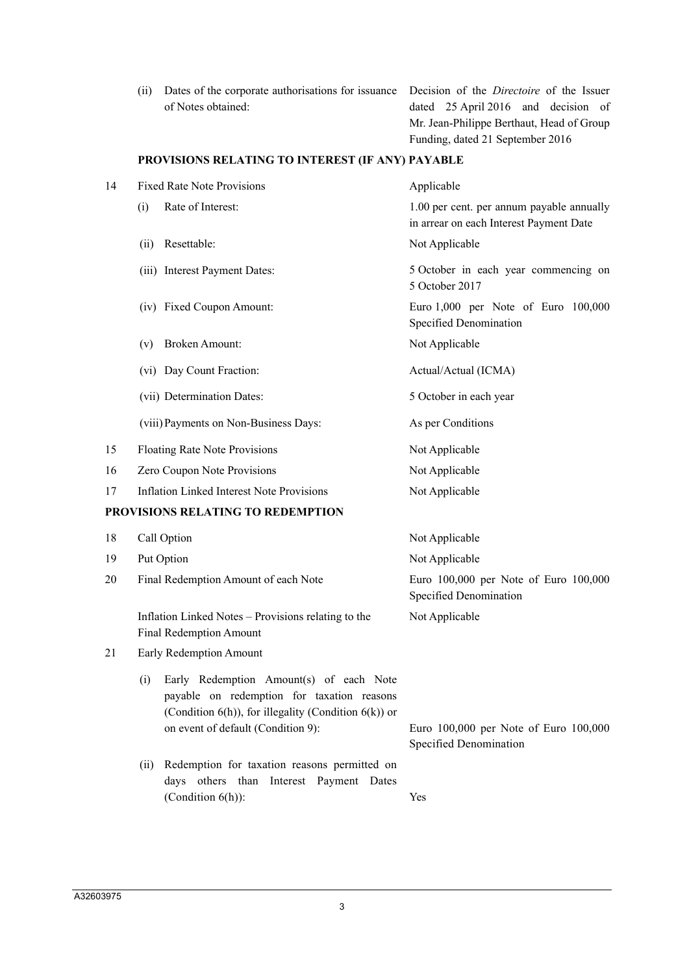| (ii) | Dates of the corporate authorisations for issuance |  |
|------|----------------------------------------------------|--|
|      | of Notes obtained:                                 |  |

Decision of the *Directoire* of the Issuer dated 25 April 2016 and decision of Mr. Jean-Philippe Berthaut, Head of Group Funding, dated 21 September 2016

## **PROVISIONS RELATING TO INTEREST (IF ANY) PAYABLE**

| 14 | <b>Fixed Rate Note Provisions</b>                                                                                                                          | Applicable                                                                           |
|----|------------------------------------------------------------------------------------------------------------------------------------------------------------|--------------------------------------------------------------------------------------|
|    | Rate of Interest:<br>(i)                                                                                                                                   | 1.00 per cent. per annum payable annually<br>in arrear on each Interest Payment Date |
|    | Resettable:<br>(ii)                                                                                                                                        | Not Applicable                                                                       |
|    | (iii) Interest Payment Dates:                                                                                                                              | 5 October in each year commencing on<br>5 October 2017                               |
|    | (iv) Fixed Coupon Amount:                                                                                                                                  | Euro 1,000 per Note of Euro 100,000<br>Specified Denomination                        |
|    | <b>Broken Amount:</b><br>(v)                                                                                                                               | Not Applicable                                                                       |
|    | (vi) Day Count Fraction:                                                                                                                                   | Actual/Actual (ICMA)                                                                 |
|    | (vii) Determination Dates:                                                                                                                                 | 5 October in each year                                                               |
|    | (viii) Payments on Non-Business Days:                                                                                                                      | As per Conditions                                                                    |
| 15 | Floating Rate Note Provisions                                                                                                                              | Not Applicable                                                                       |
| 16 | Zero Coupon Note Provisions                                                                                                                                | Not Applicable                                                                       |
| 17 | <b>Inflation Linked Interest Note Provisions</b>                                                                                                           | Not Applicable                                                                       |
|    | PROVISIONS RELATING TO REDEMPTION                                                                                                                          |                                                                                      |
| 18 | Call Option                                                                                                                                                | Not Applicable                                                                       |
| 19 | Put Option                                                                                                                                                 | Not Applicable                                                                       |
| 20 | Final Redemption Amount of each Note                                                                                                                       | Euro 100,000 per Note of Euro 100,000<br>Specified Denomination                      |
|    | Inflation Linked Notes - Provisions relating to the<br><b>Final Redemption Amount</b>                                                                      | Not Applicable                                                                       |
| 21 | Early Redemption Amount                                                                                                                                    |                                                                                      |
|    | Early Redemption Amount(s) of each Note<br>(i)<br>payable on redemption for taxation reasons<br>(Condition $6(h)$ ), for illegality (Condition $6(k)$ ) or |                                                                                      |
|    | on event of default (Condition 9):                                                                                                                         | Euro 100,000 per Note of Euro 100,000<br>Specified Denomination                      |
|    | Redemption for taxation reasons permitted on<br>(ii)<br>days others than Interest Payment Dates                                                            |                                                                                      |
|    | (Condition $6(h)$ ):                                                                                                                                       | Yes                                                                                  |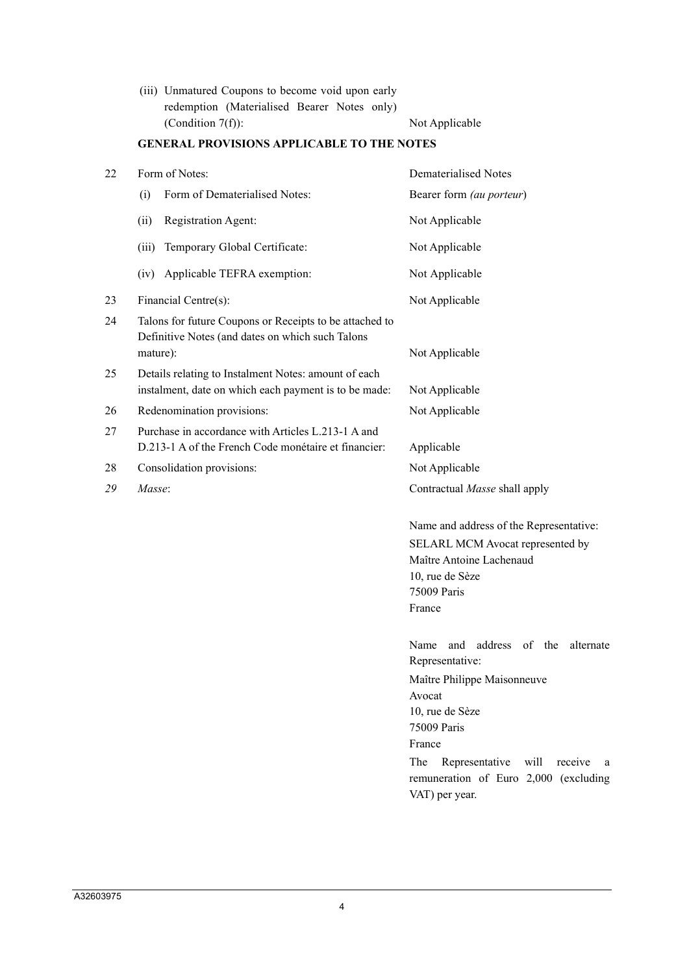(iii) Unmatured Coupons to become void upon early redemption (Materialised Bearer Notes only) (Condition 7(f)): Not Applicable

# **GENERAL PROVISIONS APPLICABLE TO THE NOTES**

|                                                                                                                         | Dematerialised Notes                                                                                                                                                                                                                                        |
|-------------------------------------------------------------------------------------------------------------------------|-------------------------------------------------------------------------------------------------------------------------------------------------------------------------------------------------------------------------------------------------------------|
| Form of Dematerialised Notes:<br>(i)                                                                                    | Bearer form (au porteur)                                                                                                                                                                                                                                    |
| Registration Agent:<br>(ii)                                                                                             | Not Applicable                                                                                                                                                                                                                                              |
| Temporary Global Certificate:<br>(iii)                                                                                  | Not Applicable                                                                                                                                                                                                                                              |
| Applicable TEFRA exemption:<br>(iv)                                                                                     | Not Applicable                                                                                                                                                                                                                                              |
| Financial Centre(s):                                                                                                    | Not Applicable                                                                                                                                                                                                                                              |
| Talons for future Coupons or Receipts to be attached to<br>Definitive Notes (and dates on which such Talons<br>mature): | Not Applicable                                                                                                                                                                                                                                              |
| Details relating to Instalment Notes: amount of each<br>instalment, date on which each payment is to be made:           | Not Applicable                                                                                                                                                                                                                                              |
| Redenomination provisions:                                                                                              | Not Applicable                                                                                                                                                                                                                                              |
| Purchase in accordance with Articles L.213-1 A and<br>D.213-1 A of the French Code monétaire et financier:              | Applicable                                                                                                                                                                                                                                                  |
| Consolidation provisions:                                                                                               | Not Applicable                                                                                                                                                                                                                                              |
| Masse:                                                                                                                  | Contractual Masse shall apply                                                                                                                                                                                                                               |
|                                                                                                                         | Name and address of the Representative:<br>SELARL MCM Avocat represented by<br>Maître Antoine Lachenaud<br>10, rue de Sèze<br>75009 Paris<br>France                                                                                                         |
|                                                                                                                         | and address of the<br>Name<br>alternate<br>Representative:<br>Maître Philippe Maisonneuve<br>Avocat<br>10, rue de Sèze<br>75009 Paris<br>France<br>The<br>Representative<br>will<br>receive<br>a<br>remuneration of Euro 2,000 (excluding<br>VAT) per year. |
|                                                                                                                         | Form of Notes:                                                                                                                                                                                                                                              |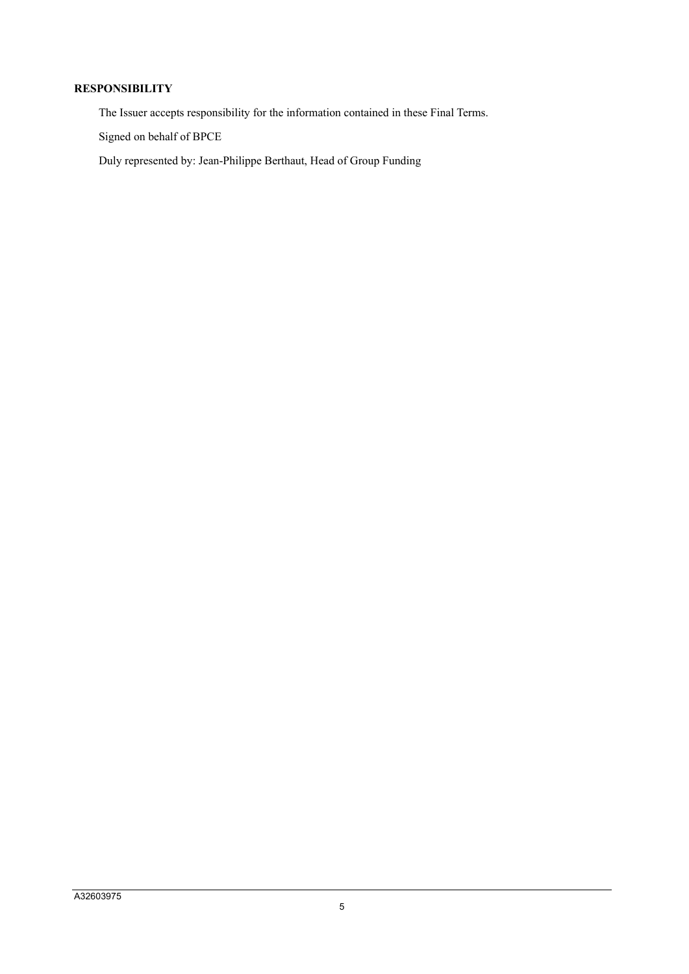## **RESPONSIBILITY**

The Issuer accepts responsibility for the information contained in these Final Terms.

Signed on behalf of BPCE

Duly represented by: Jean-Philippe Berthaut, Head of Group Funding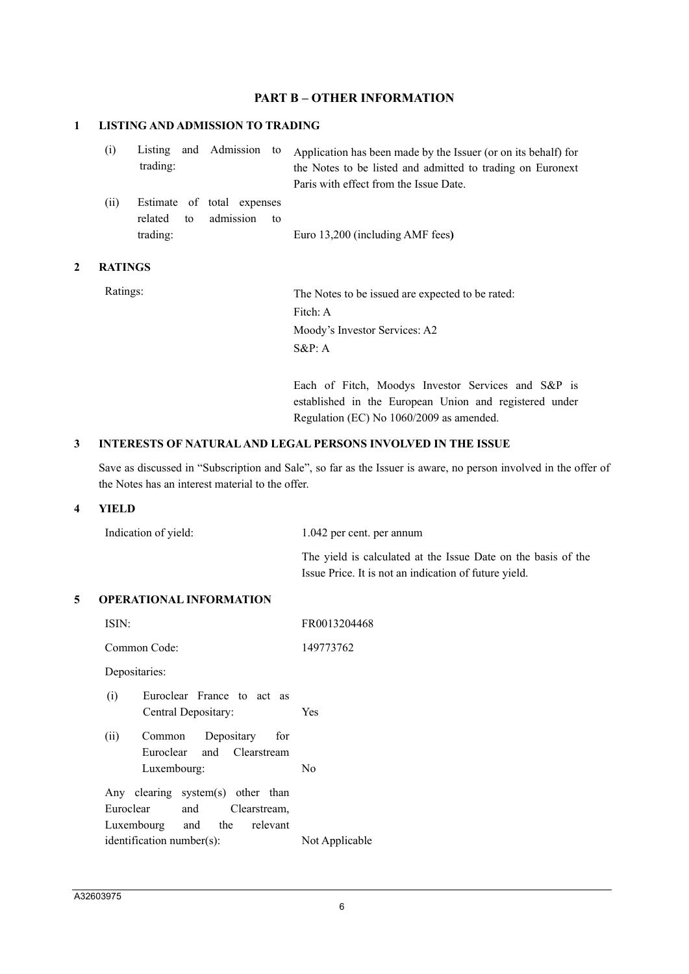## **PART B – OTHER INFORMATION**

## **1 LISTING AND ADMISSION TO TRADING**

| (i) |          |  | Listing and Admission to Application has been made by the Issuer (or on its behalf) for |
|-----|----------|--|-----------------------------------------------------------------------------------------|
|     | trading: |  | the Notes to be listed and admitted to trading on Euronext                              |
|     |          |  | Paris with effect from the Issue Date.                                                  |

(ii) Estimate of total expenses related to admission to trading: Euro 13,200 (including AMF fees**)**

### **2 RATINGS**

Ratings: The Notes to be issued are expected to be rated: Fitch: A Moody's Investor Services: A2 S&P: A

> Each of Fitch, Moodys Investor Services and S&P is established in the European Union and registered under Regulation (EC) No 1060/2009 as amended.

### **3 INTERESTS OF NATURAL AND LEGAL PERSONS INVOLVED IN THE ISSUE**

Save as discussed in "Subscription and Sale", so far as the Issuer is aware, no person involved in the offer of the Notes has an interest material to the offer.

## **4 YIELD**

| Indication of yield: | 1.042 per cent. per annum                                     |
|----------------------|---------------------------------------------------------------|
|                      | The yield is calculated at the Issue Date on the basis of the |
|                      | Issue Price. It is not an indication of future yield.         |

#### **5 OPERATIONAL INFORMATION**

| ISIN:                                                                                                                                            | FR0013204468   |  |  |  |
|--------------------------------------------------------------------------------------------------------------------------------------------------|----------------|--|--|--|
| Common Code:                                                                                                                                     | 149773762      |  |  |  |
| Depositaries:                                                                                                                                    |                |  |  |  |
| (i)<br>Euroclear France to act as<br>Central Depositary:                                                                                         | <b>Yes</b>     |  |  |  |
| (ii)<br>Common Depositary for<br>Euroclear and Clearstream<br>Luxembourg:                                                                        | N <sub>0</sub> |  |  |  |
| Any clearing system(s) other than<br>Euroclear<br>and Clearstream,<br>Luxembourg and the relevant<br>identification number(s):<br>Not Applicable |                |  |  |  |
|                                                                                                                                                  |                |  |  |  |